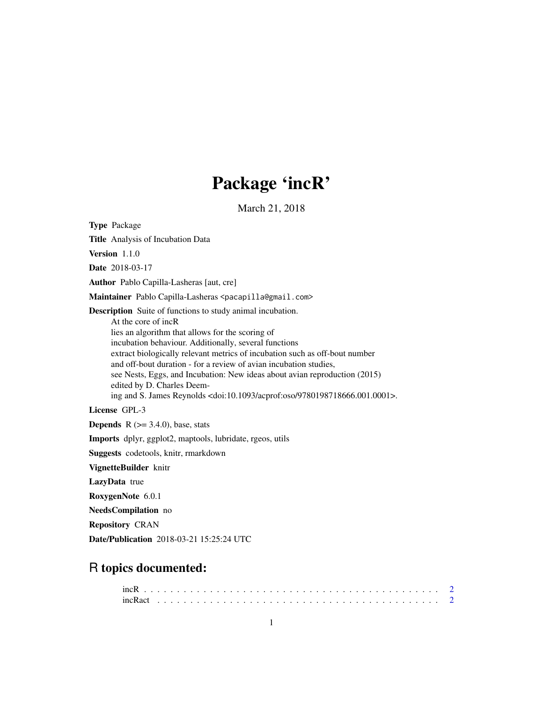## Package 'incR'

March 21, 2018

<span id="page-0-0"></span>Type Package Title Analysis of Incubation Data Version 1.1.0 Date 2018-03-17 Author Pablo Capilla-Lasheras [aut, cre] Maintainer Pablo Capilla-Lasheras <pacapilla@gmail.com> Description Suite of functions to study animal incubation. At the core of incR lies an algorithm that allows for the scoring of incubation behaviour. Additionally, several functions extract biologically relevant metrics of incubation such as off-bout number and off-bout duration - for a review of avian incubation studies, see Nests, Eggs, and Incubation: New ideas about avian reproduction (2015) edited by D. Charles Deeming and S. James Reynolds <doi:10.1093/acprof:oso/9780198718666.001.0001>. License GPL-3 **Depends** R  $(>= 3.4.0)$ , base, stats Imports dplyr, ggplot2, maptools, lubridate, rgeos, utils

Suggests codetools, knitr, rmarkdown

VignetteBuilder knitr

LazyData true

RoxygenNote 6.0.1

NeedsCompilation no

Repository CRAN

Date/Publication 2018-03-21 15:25:24 UTC

### R topics documented: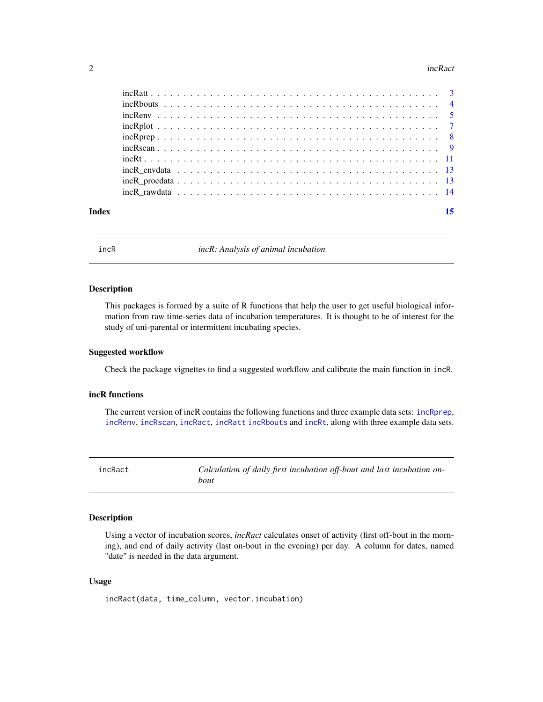#### <span id="page-1-0"></span> $2 \t\t i nCR$

|  |  |  |  |  |  |  |  |  |  |  |  |  |  |  | 15 |
|--|--|--|--|--|--|--|--|--|--|--|--|--|--|--|----|
|  |  |  |  |  |  |  |  |  |  |  |  |  |  |  |    |
|  |  |  |  |  |  |  |  |  |  |  |  |  |  |  |    |
|  |  |  |  |  |  |  |  |  |  |  |  |  |  |  |    |
|  |  |  |  |  |  |  |  |  |  |  |  |  |  |  |    |
|  |  |  |  |  |  |  |  |  |  |  |  |  |  |  |    |
|  |  |  |  |  |  |  |  |  |  |  |  |  |  |  |    |
|  |  |  |  |  |  |  |  |  |  |  |  |  |  |  |    |
|  |  |  |  |  |  |  |  |  |  |  |  |  |  |  |    |
|  |  |  |  |  |  |  |  |  |  |  |  |  |  |  |    |
|  |  |  |  |  |  |  |  |  |  |  |  |  |  |  |    |
|  |  |  |  |  |  |  |  |  |  |  |  |  |  |  |    |

incR *incR: Analysis of animal incubation*

#### Description

This packages is formed by a suite of R functions that help the user to get useful biological information from raw time-series data of incubation temperatures. It is thought to be of interest for the study of uni-parental or intermittent incubating species.

#### Suggested workflow

Check the package vignettes to find a suggested workflow and calibrate the main function in incR.

#### incR functions

The current version of incR contains the following functions and three example data sets: [incRprep](#page-7-1), [incRenv](#page-4-1), [incRscan](#page-8-1), [incRact](#page-1-1), [incRatt](#page-2-1) [incRbouts](#page-3-1) and [incRt](#page-10-1), along with three example data sets.

<span id="page-1-1"></span>incRact *Calculation of daily first incubation off-bout and last incubation onbout*

#### Description

Using a vector of incubation scores, *incRact* calculates onset of activity (first off-bout in the morning), and end of daily activity (last on-bout in the evening) per day. A column for dates, named "date" is needed in the data argument.

#### Usage

incRact(data, time\_column, vector.incubation)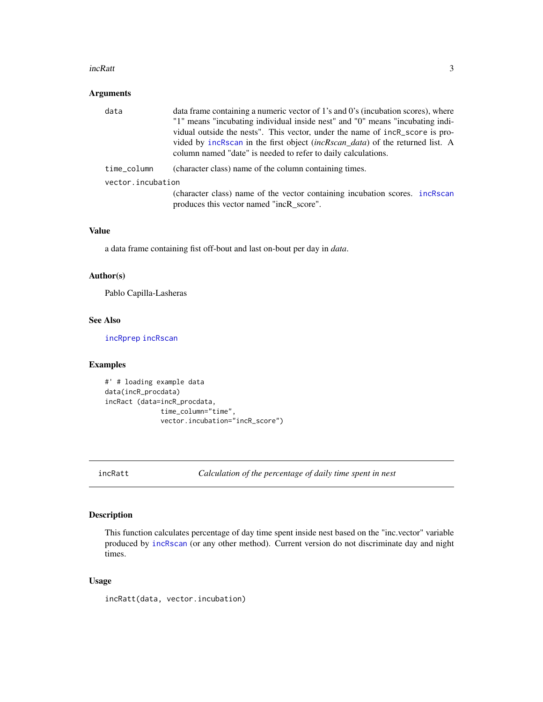#### <span id="page-2-0"></span>incRatt 3

#### Arguments

| data              | data frame containing a numeric vector of 1's and 0's (incubation scores), where     |
|-------------------|--------------------------------------------------------------------------------------|
|                   | "1" means "incubating individual inside nest" and "0" means "incubating indi-        |
|                   | vidual outside the nests". This vector, under the name of incR_score is pro-         |
|                   | vided by incRscan in the first object <i>(incRscan_data)</i> of the returned list. A |
|                   | column named "date" is needed to refer to daily calculations.                        |
| time_column       | (character class) name of the column containing times.                               |
| vector.incubation |                                                                                      |
|                   | (character class) name of the vector containing incubation scores. incRscan          |
|                   | produces this vector named "incR_score".                                             |

#### Value

a data frame containing fist off-bout and last on-bout per day in *data*.

#### Author(s)

Pablo Capilla-Lasheras

#### See Also

[incRprep](#page-7-1) [incRscan](#page-8-1)

#### Examples

```
#' # loading example data
data(incR_procdata)
incRact (data=incR_procdata,
             time_column="time",
              vector.incubation="incR_score")
```
<span id="page-2-1"></span>incRatt *Calculation of the percentage of daily time spent in nest*

#### Description

This function calculates percentage of day time spent inside nest based on the "inc.vector" variable produced by [incRscan](#page-8-1) (or any other method). Current version do not discriminate day and night times.

#### Usage

incRatt(data, vector.incubation)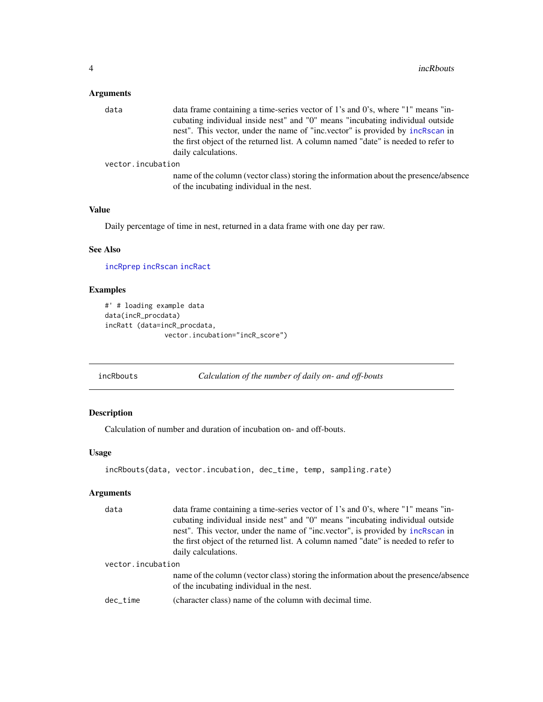#### <span id="page-3-0"></span>Arguments

| data              | data frame containing a time-series vector of 1's and 0's, where "1" means "in-    |
|-------------------|------------------------------------------------------------------------------------|
|                   | cubating individual inside nest" and "0" means "incubating individual outside      |
|                   | nest". This vector, under the name of "inc.vector" is provided by incressed in     |
|                   | the first object of the returned list. A column named "date" is needed to refer to |
|                   | daily calculations.                                                                |
| vector.incubation |                                                                                    |

name of the column (vector class) storing the information about the presence/absence of the incubating individual in the nest.

#### Value

Daily percentage of time in nest, returned in a data frame with one day per raw.

#### See Also

[incRprep](#page-7-1) [incRscan](#page-8-1) [incRact](#page-1-1)

#### Examples

```
#' # loading example data
data(incR_procdata)
incRatt (data=incR_procdata,
               vector.incubation="incR_score")
```
<span id="page-3-1"></span>incRbouts *Calculation of the number of daily on- and off-bouts*

#### Description

Calculation of number and duration of incubation on- and off-bouts.

#### Usage

```
incRbouts(data, vector.incubation, dec_time, temp, sampling.rate)
```
#### Arguments

| data              | data frame containing a time-series vector of 1's and 0's, where "1" means "in-<br>cubating individual inside nest" and "0" means "incubating individual outside<br>nest". This vector, under the name of "inc.vector", is provided by incRscan in<br>the first object of the returned list. A column named "date" is needed to refer to |
|-------------------|------------------------------------------------------------------------------------------------------------------------------------------------------------------------------------------------------------------------------------------------------------------------------------------------------------------------------------------|
|                   | daily calculations.                                                                                                                                                                                                                                                                                                                      |
| vector.incubation |                                                                                                                                                                                                                                                                                                                                          |
|                   | name of the column (vector class) storing the information about the presence/absence<br>of the incubating individual in the nest.                                                                                                                                                                                                        |
| dec time          | (character class) name of the column with decimal time.                                                                                                                                                                                                                                                                                  |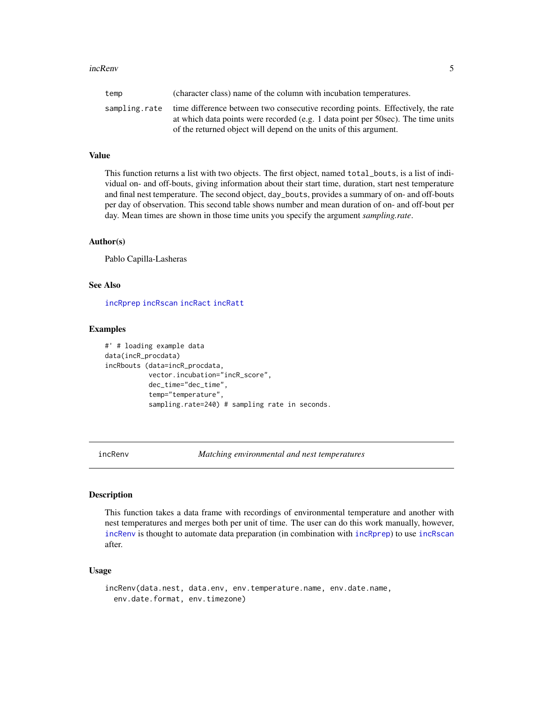#### <span id="page-4-0"></span>incRenv 5

|                                                                   | temp | (character class) name of the column with incubation temperatures.                                                                                                                 |
|-------------------------------------------------------------------|------|------------------------------------------------------------------------------------------------------------------------------------------------------------------------------------|
| of the returned object will depend on the units of this argument. |      | sampling, rate time difference between two consecutive recording points. Effectively, the rate<br>at which data points were recorded (e.g. 1 data point per 50sec). The time units |

#### Value

This function returns a list with two objects. The first object, named total\_bouts, is a list of individual on- and off-bouts, giving information about their start time, duration, start nest temperature and final nest temperature. The second object, day\_bouts, provides a summary of on- and off-bouts per day of observation. This second table shows number and mean duration of on- and off-bout per day. Mean times are shown in those time units you specify the argument *sampling.rate*.

#### Author(s)

Pablo Capilla-Lasheras

#### See Also

[incRprep](#page-7-1) [incRscan](#page-8-1) [incRact](#page-1-1) [incRatt](#page-2-1)

#### Examples

```
#' # loading example data
data(incR_procdata)
incRbouts (data=incR_procdata,
           vector.incubation="incR_score",
           dec_time="dec_time",
           temp="temperature",
           sampling.rate=240) # sampling rate in seconds.
```
<span id="page-4-1"></span>

incRenv *Matching environmental and nest temperatures*

#### **Description**

This function takes a data frame with recordings of environmental temperature and another with nest temperatures and merges both per unit of time. The user can do this work manually, however, [incRenv](#page-4-1) is thought to automate data preparation (in combination with [incRprep](#page-7-1)) to use [incRscan](#page-8-1) after.

#### Usage

```
incRenv(data.nest, data.env, env.temperature.name, env.date.name,
  env.date.format, env.timezone)
```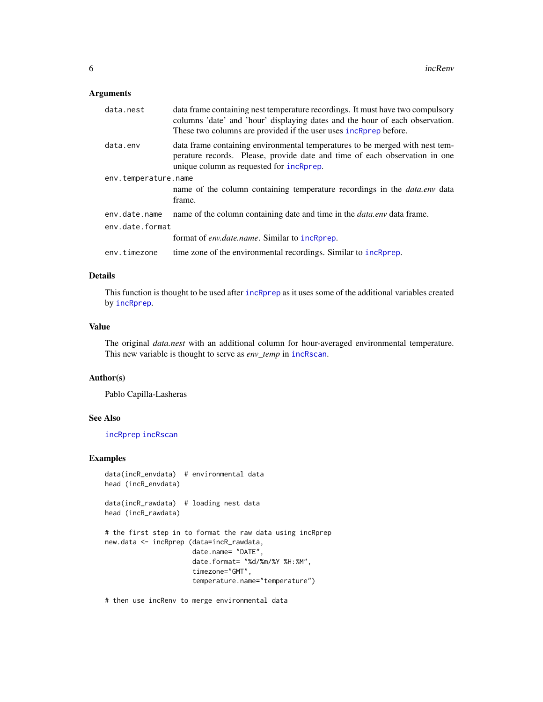#### Arguments

| data.nest            | data frame containing nest temperature recordings. It must have two compulsory<br>columns 'date' and 'hour' displaying dates and the hour of each observation.<br>These two columns are provided if the user uses incRprep before. |
|----------------------|------------------------------------------------------------------------------------------------------------------------------------------------------------------------------------------------------------------------------------|
| data.env             | data frame containing environmental temperatures to be merged with nest tem-<br>perature records. Please, provide date and time of each observation in one<br>unique column as requested for incRprep.                             |
| env.temperature.name |                                                                                                                                                                                                                                    |
|                      | name of the column containing temperature recordings in the <i>data.env</i> data<br>frame.                                                                                                                                         |
| env.date.name        | name of the column containing date and time in the <i>data.env</i> data frame.                                                                                                                                                     |
| env.date.format      |                                                                                                                                                                                                                                    |
|                      | format of <i>env.date.name.</i> Similar to incRprep.                                                                                                                                                                               |
| env.timezone         | time zone of the environmental recordings. Similar to incRprep.                                                                                                                                                                    |
|                      |                                                                                                                                                                                                                                    |

#### Details

This function is thought to be used after [incRprep](#page-7-1) as it uses some of the additional variables created by [incRprep](#page-7-1).

#### Value

The original *data.nest* with an additional column for hour-averaged environmental temperature. This new variable is thought to serve as *env\_temp* in [incRscan](#page-8-1).

#### Author(s)

Pablo Capilla-Lasheras

#### See Also

[incRprep](#page-7-1) [incRscan](#page-8-1)

#### Examples

```
data(incR_envdata) # environmental data
head (incR_envdata)
```
data(incR\_rawdata) # loading nest data head (incR\_rawdata)

```
# the first step in to format the raw data using incRprep
new.data <- incRprep (data=incR_rawdata,
                     date.name= "DATE",
                      date.format= "%d/%m/%Y %H:%M",
                      timezone="GMT",
                      temperature.name="temperature")
```
# then use incRenv to merge environmental data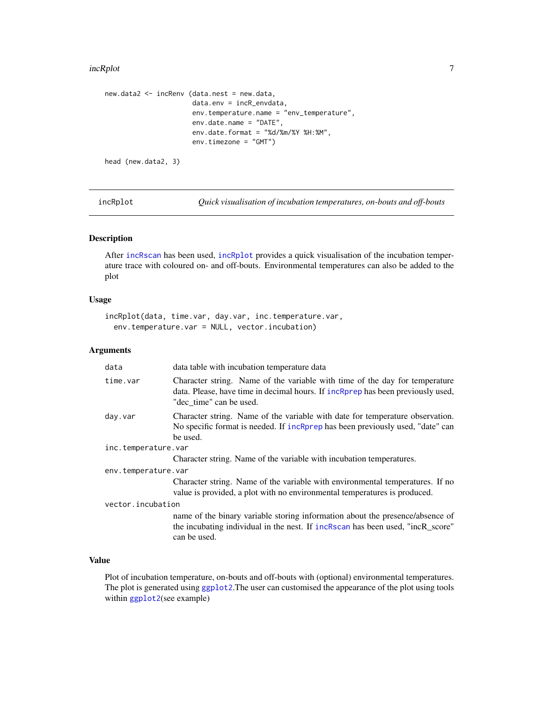#### <span id="page-6-0"></span>incRplot 2008 and 2008 and 2008 and 2008 and 2008 and 2008 and 2008 and 2008 and 2008 and 2008 and 2008 and 20

```
new.data2 <- incRenv (data.nest = new.data,
                      data.env = incR_envdata,
                      env.temperature.name = "env_temperature",
                      env.date.name = "DATE",
                      env.date.format = "%d/%m/%Y %H:%M",
                      env.timezone = "GMT")
head (new.data2, 3)
```
<span id="page-6-1"></span>incRplot *Quick visualisation of incubation temperatures, on-bouts and off-bouts*

#### Description

After [incRscan](#page-8-1) has been used, [incRplot](#page-6-1) provides a quick visualisation of the incubation temperature trace with coloured on- and off-bouts. Environmental temperatures can also be added to the plot

#### Usage

```
incRplot(data, time.var, day.var, inc.temperature.var,
 env.temperature.var = NULL, vector.incubation)
```
#### Arguments

| data                | data table with incubation temperature data                                                                                                                                               |
|---------------------|-------------------------------------------------------------------------------------------------------------------------------------------------------------------------------------------|
| time.var            | Character string. Name of the variable with time of the day for temperature<br>data. Please, have time in decimal hours. If incRprep has been previously used,<br>"dec time" can be used. |
| day.var             | Character string. Name of the variable with date for temperature observation.<br>No specific format is needed. If incRprep has been previously used, "date" can<br>be used.               |
| inc.temperature.var |                                                                                                                                                                                           |
|                     | Character string. Name of the variable with incubation temperatures.                                                                                                                      |
| env.temperature.var |                                                                                                                                                                                           |
|                     | Character string. Name of the variable with environmental temperatures. If no<br>value is provided, a plot with no environmental temperatures is produced.                                |
| vector.incubation   |                                                                                                                                                                                           |
|                     | name of the binary variable storing information about the presence/absence of<br>the incubating individual in the nest. If increase has been used, "incR_score"<br>can be used.           |

#### Value

Plot of incubation temperature, on-bouts and off-bouts with (optional) environmental temperatures. The plot is generated using [ggplot2](#page-0-0).The user can customised the appearance of the plot using tools within [ggplot2](#page-0-0)(see example)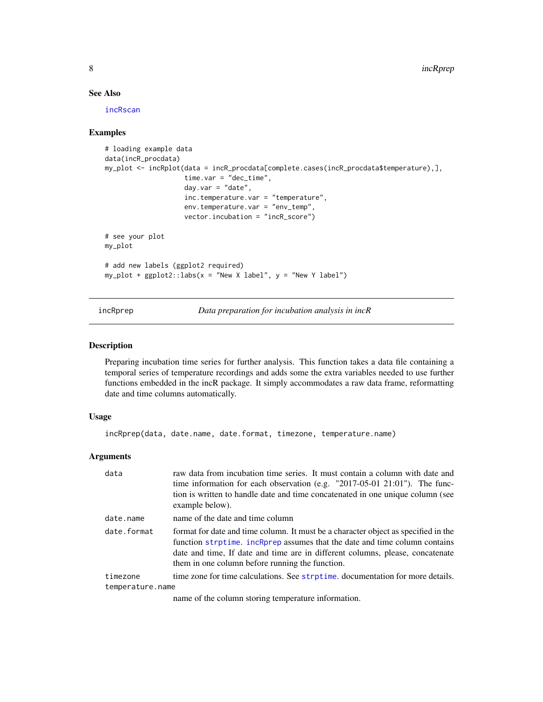#### <span id="page-7-0"></span>See Also

[incRscan](#page-8-1)

#### Examples

```
# loading example data
data(incR_procdata)
my_plot <- incRplot(data = incR_procdata[complete.cases(incR_procdata$temperature),],
                    time.var = "dec_time",
                    day.var = "date",
                    inc.temperature.var = "temperature",
                    env.temperature.var = "env_temp",
                    vector.incubation = "incR_score")
# see your plot
my_plot
# add new labels (ggplot2 required)
my\_plot + ggplot2::labs(x = "New X label", y = "New Y label")
```
<span id="page-7-1"></span>incRprep *Data preparation for incubation analysis in incR*

#### Description

Preparing incubation time series for further analysis. This function takes a data file containing a temporal series of temperature recordings and adds some the extra variables needed to use further functions embedded in the incR package. It simply accommodates a raw data frame, reformatting date and time columns automatically.

#### Usage

```
incRprep(data, date.name, date.format, timezone, temperature.name)
```
#### Arguments

| data                         | raw data from incubation time series. It must contain a column with date and<br>time information for each observation (e.g. "2017-05-01 21:01"). The func-<br>tion is written to handle date and time concatenated in one unique column (see<br>example below).                                      |
|------------------------------|------------------------------------------------------------------------------------------------------------------------------------------------------------------------------------------------------------------------------------------------------------------------------------------------------|
| date.name                    | name of the date and time column                                                                                                                                                                                                                                                                     |
| date.format                  | format for date and time column. It must be a character object as specified in the<br>function strptime. incRprep assumes that the date and time column contains<br>date and time, If date and time are in different columns, please, concatenate<br>them in one column before running the function. |
| timezone<br>temperature.name | time zone for time calculations. See strptime, documentation for more details.                                                                                                                                                                                                                       |

name of the column storing temperature information.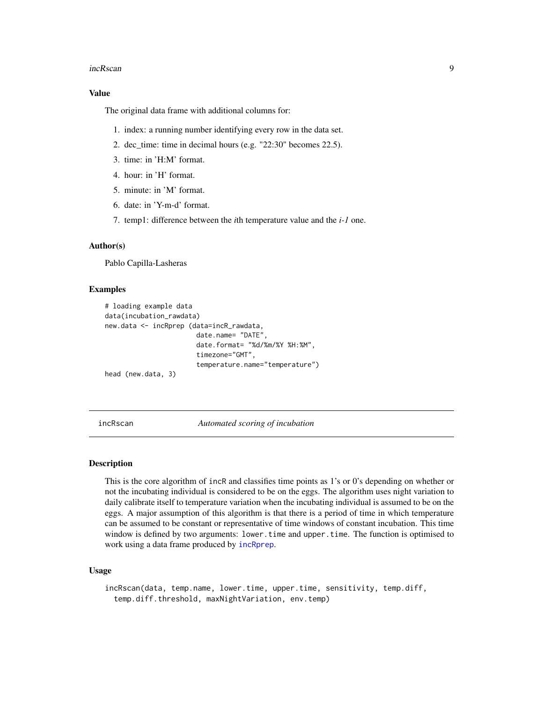#### <span id="page-8-0"></span>incRscan 99

#### Value

The original data frame with additional columns for:

- 1. index: a running number identifying every row in the data set.
- 2. dec\_time: time in decimal hours (e.g. "22:30" becomes 22.5).
- 3. time: in 'H:M' format.
- 4. hour: in 'H' format.
- 5. minute: in 'M' format.
- 6. date: in 'Y-m-d' format.
- 7. temp1: difference between the *i*th temperature value and the *i-1* one.

#### Author(s)

Pablo Capilla-Lasheras

#### Examples

```
# loading example data
data(incubation_rawdata)
new.data <- incRprep (data=incR_rawdata,
                       date.name= "DATE",
                       date.format= "%d/%m/%Y %H:%M",
                       timezone="GMT",
                       temperature.name="temperature")
head (new.data, 3)
```
<span id="page-8-1"></span>incRscan *Automated scoring of incubation*

#### **Description**

This is the core algorithm of incR and classifies time points as 1's or 0's depending on whether or not the incubating individual is considered to be on the eggs. The algorithm uses night variation to daily calibrate itself to temperature variation when the incubating individual is assumed to be on the eggs. A major assumption of this algorithm is that there is a period of time in which temperature can be assumed to be constant or representative of time windows of constant incubation. This time window is defined by two arguments: lower.time and upper.time. The function is optimised to work using a data frame produced by [incRprep](#page-7-1).

#### Usage

incRscan(data, temp.name, lower.time, upper.time, sensitivity, temp.diff, temp.diff.threshold, maxNightVariation, env.temp)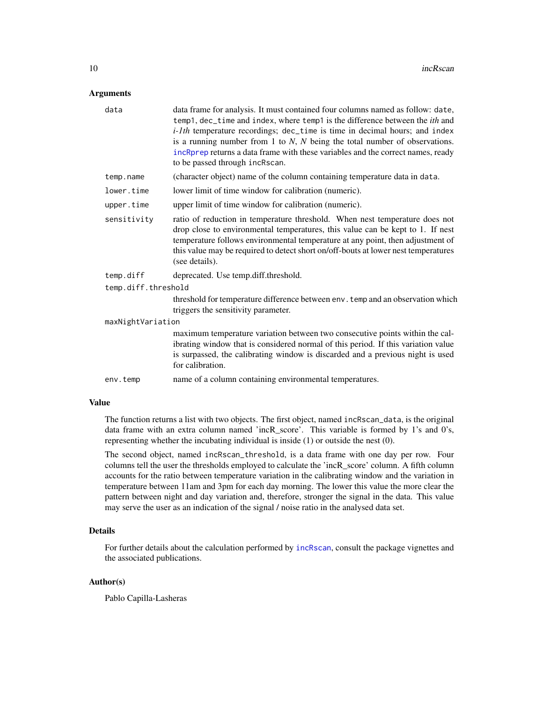#### <span id="page-9-0"></span>Arguments

| data                | data frame for analysis. It must contained four columns named as follow: date,<br>temp1, dec_time and index, where temp1 is the difference between the <i>ith</i> and<br>$i$ -1th temperature recordings; dec_time is time in decimal hours; and index<br>is a running number from 1 to $N$ , $N$ being the total number of observations.<br>incRprep returns a data frame with these variables and the correct names, ready<br>to be passed through incRscan. |
|---------------------|----------------------------------------------------------------------------------------------------------------------------------------------------------------------------------------------------------------------------------------------------------------------------------------------------------------------------------------------------------------------------------------------------------------------------------------------------------------|
| temp.name           | (character object) name of the column containing temperature data in data.                                                                                                                                                                                                                                                                                                                                                                                     |
| lower.time          | lower limit of time window for calibration (numeric).                                                                                                                                                                                                                                                                                                                                                                                                          |
| upper.time          | upper limit of time window for calibration (numeric).                                                                                                                                                                                                                                                                                                                                                                                                          |
| sensitivity         | ratio of reduction in temperature threshold. When nest temperature does not<br>drop close to environmental temperatures, this value can be kept to 1. If nest<br>temperature follows environmental temperature at any point, then adjustment of<br>this value may be required to detect short on/off-bouts at lower nest temperatures<br>(see details).                                                                                                        |
| temp.diff           | deprecated. Use temp.diff.threshold.                                                                                                                                                                                                                                                                                                                                                                                                                           |
| temp.diff.threshold |                                                                                                                                                                                                                                                                                                                                                                                                                                                                |
|                     | threshold for temperature difference between env. temp and an observation which<br>triggers the sensitivity parameter.                                                                                                                                                                                                                                                                                                                                         |
| maxNightVariation   |                                                                                                                                                                                                                                                                                                                                                                                                                                                                |
|                     | maximum temperature variation between two consecutive points within the cal-<br>ibrating window that is considered normal of this period. If this variation value<br>is surpassed, the calibrating window is discarded and a previous night is used<br>for calibration.                                                                                                                                                                                        |
| env.temp            | name of a column containing environmental temperatures.                                                                                                                                                                                                                                                                                                                                                                                                        |
|                     |                                                                                                                                                                                                                                                                                                                                                                                                                                                                |

#### Value

The function returns a list with two objects. The first object, named incRscan\_data, is the original data frame with an extra column named 'incR\_score'. This variable is formed by 1's and 0's, representing whether the incubating individual is inside (1) or outside the nest (0).

The second object, named incRscan\_threshold, is a data frame with one day per row. Four columns tell the user the thresholds employed to calculate the 'incR\_score' column. A fifth column accounts for the ratio between temperature variation in the calibrating window and the variation in temperature between 11am and 3pm for each day morning. The lower this value the more clear the pattern between night and day variation and, therefore, stronger the signal in the data. This value may serve the user as an indication of the signal / noise ratio in the analysed data set.

#### Details

For further details about the calculation performed by [incRscan](#page-8-1), consult the package vignettes and the associated publications.

#### Author(s)

Pablo Capilla-Lasheras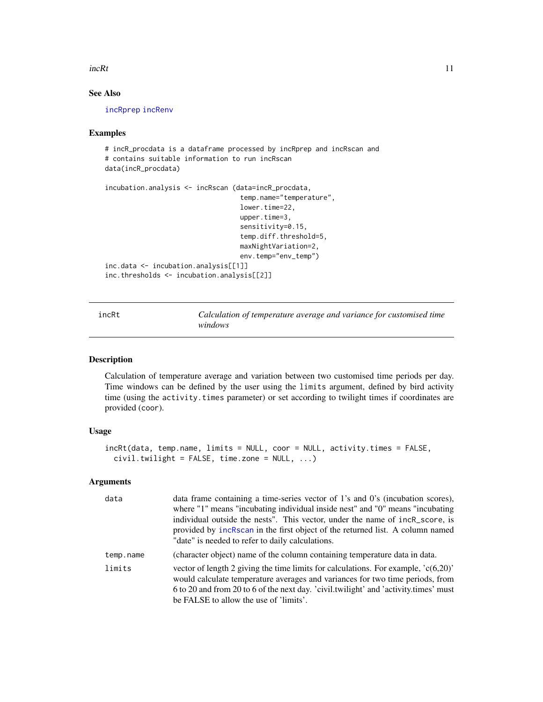#### <span id="page-10-0"></span> $\text{incRt}$  11

#### See Also

[incRprep](#page-7-1) [incRenv](#page-4-1)

#### Examples

```
# incR_procdata is a dataframe processed by incRprep and incRscan and
# contains suitable information to run incRscan
data(incR_procdata)
incubation.analysis <- incRscan (data=incR_procdata,
                                  temp.name="temperature",
                                  lower.time=22,
                                  upper.time=3,
                                  sensitivity=0.15,
                                  temp.diff.threshold=5,
                                  maxNightVariation=2,
                                  env.temp="env_temp")
inc.data <- incubation.analysis[[1]]
inc.thresholds <- incubation.analysis[[2]]
```
<span id="page-10-1"></span>incRt *Calculation of temperature average and variance for customised time windows*

#### Description

Calculation of temperature average and variation between two customised time periods per day. Time windows can be defined by the user using the limits argument, defined by bird activity time (using the activity.times parameter) or set according to twilight times if coordinates are provided (coor).

#### Usage

```
incRt(data, temp.name, limits = NULL, coor = NULL, activity.times = FALSE,
 civil.twilight = FALSE, time.zone = NULL, ...)
```
#### Arguments

| data      | data frame containing a time-series vector of 1's and 0's (incubation scores),<br>where "1" means "incubating individual inside nest" and "0" means "incubating<br>individual outside the nests". This vector, under the name of incR_score, is<br>provided by increase in the first object of the returned list. A column named<br>"date" is needed to refer to daily calculations. |
|-----------|--------------------------------------------------------------------------------------------------------------------------------------------------------------------------------------------------------------------------------------------------------------------------------------------------------------------------------------------------------------------------------------|
| temp.name | (character object) name of the column containing temperature data in data.                                                                                                                                                                                                                                                                                                           |
| limits    | vector of length 2 giving the time limits for calculations. For example, $(c(6,20))$<br>would calculate temperature averages and variances for two time periods, from<br>6 to 20 and from 20 to 6 of the next day. 'civil.twilight' and 'activity.times' must<br>be FALSE to allow the use of 'limits'.                                                                              |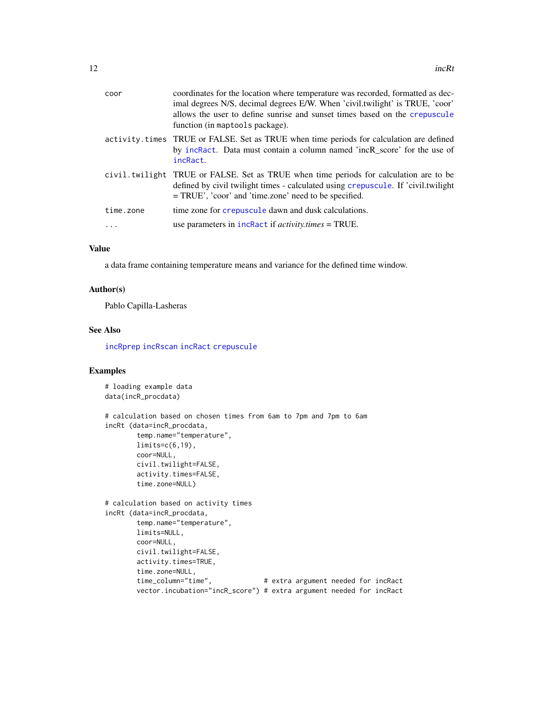<span id="page-11-0"></span>

| coor      | coordinates for the location where temperature was recorded, formatted as dec-<br>imal degrees N/S, decimal degrees E/W. When 'civil.twilight' is TRUE, 'coor'<br>allows the user to define sunrise and sunset times based on the crepuscule<br>function (in maptools package). |
|-----------|---------------------------------------------------------------------------------------------------------------------------------------------------------------------------------------------------------------------------------------------------------------------------------|
|           | activity times TRUE or FALSE. Set as TRUE when time periods for calculation are defined<br>by increact. Data must contain a column named 'incR_score' for the use of<br>incRact.                                                                                                |
|           | civil. twilight TRUE or FALSE. Set as TRUE when time periods for calculation are to be<br>defined by civil twilight times - calculated using crepuscule. If 'civil.twilight<br>$= TRUE'$ , 'coor' and 'time.zone' need to be specified.                                         |
| time.zone | time zone for crepuscule dawn and dusk calculations.                                                                                                                                                                                                                            |
|           | use parameters in $in$ $Ractivity. times = TRUE.$                                                                                                                                                                                                                               |
|           |                                                                                                                                                                                                                                                                                 |

#### Value

a data frame containing temperature means and variance for the defined time window.

#### Author(s)

Pablo Capilla-Lasheras

#### See Also

[incRprep](#page-7-1) [incRscan](#page-8-1) [incRact](#page-1-1) [crepuscule](#page-0-0)

#### Examples

# loading example data data(incR\_procdata)

```
# calculation based on chosen times from 6am to 7pm and 7pm to 6am
incRt (data=incR_procdata,
        temp.name="temperature",
       limits=c(6,19),
       coor=NULL,
       civil.twilight=FALSE,
       activity.times=FALSE,
       time.zone=NULL)
# calculation based on activity times
incRt (data=incR_procdata,
       temp.name="temperature",
       limits=NULL,
       coor=NULL,
       civil.twilight=FALSE,
       activity.times=TRUE,
       time.zone=NULL,<br>time_column="time",
                                  # extra argument needed for incRact
       vector.incubation="incR_score") # extra argument needed for incRact
```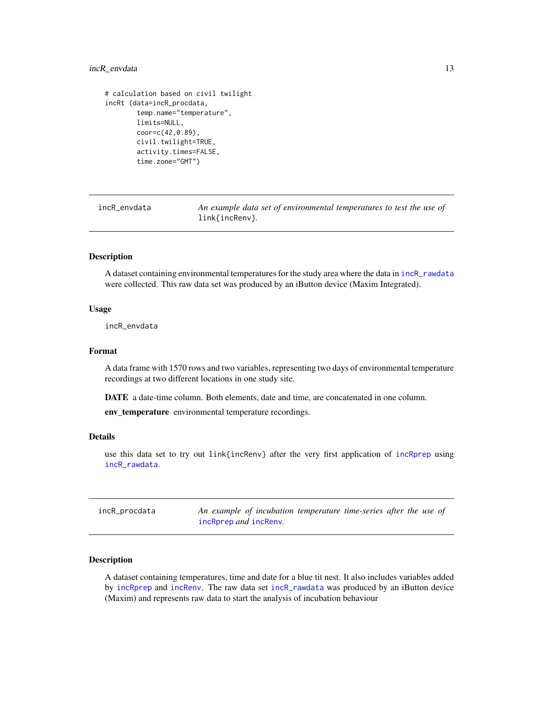#### <span id="page-12-0"></span>incR\_envdata 13

```
# calculation based on civil twilight
incRt (data=incR_procdata,
       temp.name="temperature",
       limits=NULL,
       coor=c(42,0.89),
       civil.twilight=TRUE,
       activity.times=FALSE,
        time.zone="GMT")
```
incR\_envdata *An example data set of environmental temperatures to test the use of* link{incRenv}*.*

#### Description

A dataset containing environmental temperatures for the study area where the data in [incR\\_rawdata](#page-13-1) were collected. This raw data set was produced by an iButton device (Maxim Integrated).

#### Usage

incR\_envdata

#### Format

A data frame with 1570 rows and two variables, representing two days of environmental temperature recordings at two different locations in one study site.

DATE a date-time column. Both elements, date and time, are concatenated in one column.

env\_temperature environmental temperature recordings.

#### Details

use this data set to try out link{incRenv} after the very first application of [incRprep](#page-7-1) using [incR\\_rawdata](#page-13-1).

| incR_procdata | An example of incubation temperature time-series after the use of |  |
|---------------|-------------------------------------------------------------------|--|
|               | incRprep <i>and</i> incRenv.                                      |  |

#### Description

A dataset containing temperatures, time and date for a blue tit nest. It also includes variables added by [incRprep](#page-7-1) and [incRenv](#page-4-1). The raw data set [incR\\_rawdata](#page-13-1) was produced by an iButton device (Maxim) and represents raw data to start the analysis of incubation behaviour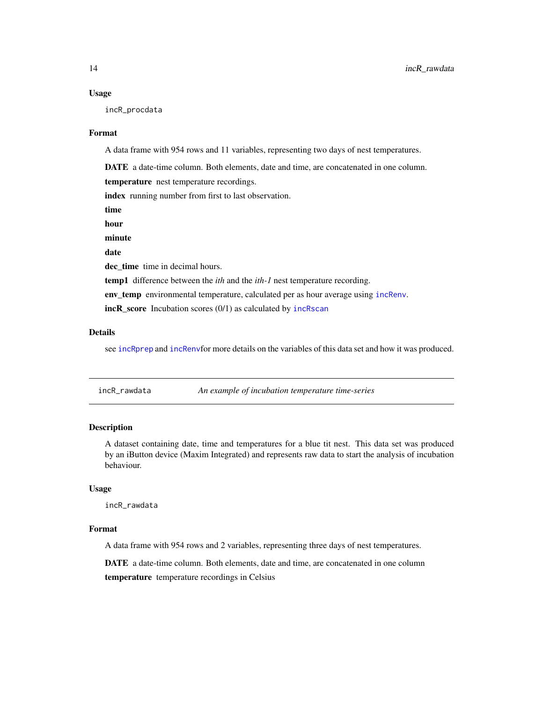#### <span id="page-13-0"></span>Usage

incR\_procdata

#### Format

A data frame with 954 rows and 11 variables, representing two days of nest temperatures.

DATE a date-time column. Both elements, date and time, are concatenated in one column.

temperature nest temperature recordings.

index running number from first to last observation.

time

hour

minute

date

dec time time in decimal hours.

temp1 difference between the *ith* and the *ith-1* nest temperature recording.

env\_temp environmental temperature, calculated per as hour average using [incRenv](#page-4-1).

incR\_score Incubation scores (0/1) as calculated by [incRscan](#page-8-1)

#### Details

see [incRprep](#page-7-1) and [incRenv](#page-4-1)for more details on the variables of this data set and how it was produced.

<span id="page-13-1"></span>incR\_rawdata *An example of incubation temperature time-series*

#### Description

A dataset containing date, time and temperatures for a blue tit nest. This data set was produced by an iButton device (Maxim Integrated) and represents raw data to start the analysis of incubation behaviour.

#### Usage

incR\_rawdata

#### Format

A data frame with 954 rows and 2 variables, representing three days of nest temperatures.

DATE a date-time column. Both elements, date and time, are concatenated in one column

temperature temperature recordings in Celsius